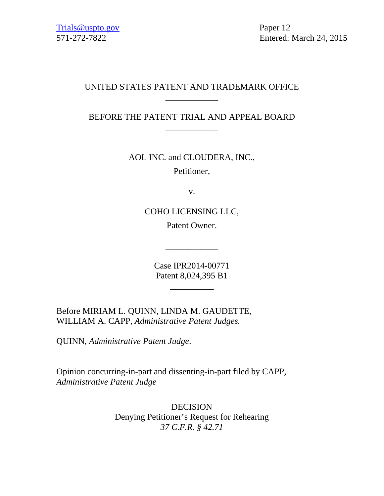# UNITED STATES PATENT AND TRADEMARK OFFICE \_\_\_\_\_\_\_\_\_\_\_\_

BEFORE THE PATENT TRIAL AND APPEAL BOARD \_\_\_\_\_\_\_\_\_\_\_\_

AOL INC. and CLOUDERA, INC.,

Petitioner,

v.

COHO LICENSING LLC, Patent Owner.

Case IPR2014-00771 Patent 8,024,395 B1

\_\_\_\_\_\_\_\_\_\_

 $\overline{\phantom{a}}$  , we can also the contract of  $\overline{\phantom{a}}$ 

Before MIRIAM L. QUINN, LINDA M. GAUDETTE, WILLIAM A. CAPP, *Administrative Patent Judges.*

QUINN, *Administrative Patent Judge*.

Opinion concurring-in-part and dissenting-in-part filed by CAPP, *Administrative Patent Judge*

> DECISION Denying Petitioner's Request for Rehearing *37 C.F.R. § 42.71*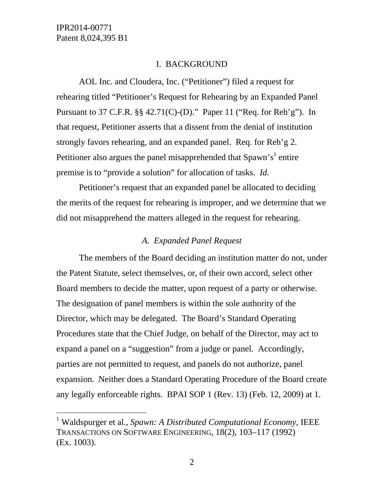$\overline{a}$ 

#### I. BACKGROUND

AOL Inc. and Cloudera, Inc. ("Petitioner") filed a request for rehearing titled "Petitioner's Request for Rehearing by an Expanded Panel Pursuant to 37 C.F.R. §§ 42.71(C)-(D)." Paper 11 ("Req. for Reh'g"). In that request, Petitioner asserts that a dissent from the denial of institution strongly favors rehearing, and an expanded panel. Req. for Reh'g 2. Petitioner also argues the panel misapprehended that Spawn's<sup>1</sup> entire premise is to "provide a solution" for allocation of tasks. *Id.*

Petitioner's request that an expanded panel be allocated to deciding the merits of the request for rehearing is improper, and we determine that we did not misapprehend the matters alleged in the request for rehearing.

#### *A. Expanded Panel Request*

The members of the Board deciding an institution matter do not, under the Patent Statute, select themselves, or, of their own accord, select other Board members to decide the matter, upon request of a party or otherwise. The designation of panel members is within the sole authority of the Director, which may be delegated. The Board's Standard Operating Procedures state that the Chief Judge, on behalf of the Director, may act to expand a panel on a "suggestion" from a judge or panel. Accordingly, parties are not permitted to request, and panels do not authorize, panel expansion. Neither does a Standard Operating Procedure of the Board create any legally enforceable rights. BPAI SOP 1 (Rev. 13) (Feb. 12, 2009) at 1.

<sup>&</sup>lt;sup>1</sup> Waldspurger et al., *Spawn: A Distributed Computational Economy*, IEEE TRANSACTIONS ON SOFTWARE ENGINEERING, 18(2), 103–117 (1992) (Ex. 1003).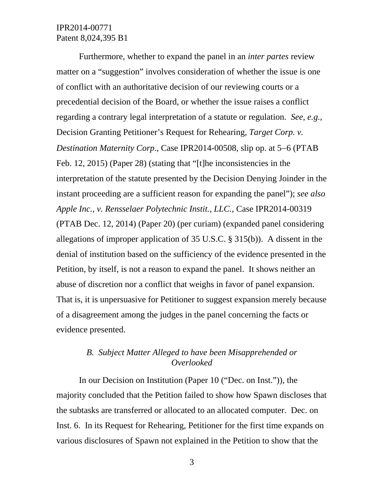Furthermore, whether to expand the panel in an *inter partes* review matter on a "suggestion" involves consideration of whether the issue is one of conflict with an authoritative decision of our reviewing courts or a precedential decision of the Board, or whether the issue raises a conflict regarding a contrary legal interpretation of a statute or regulation. *See, e.g.*, Decision Granting Petitioner's Request for Rehearing, *Target Corp. v. Destination Maternity Corp.*, Case IPR2014-00508, slip op. at 5–6 (PTAB Feb. 12, 2015) (Paper 28) (stating that "[t]he inconsistencies in the interpretation of the statute presented by the Decision Denying Joinder in the instant proceeding are a sufficient reason for expanding the panel"); *see also Apple Inc., v. Rensselaer Polytechnic Instit., LLC.*, Case IPR2014-00319 (PTAB Dec. 12, 2014) (Paper 20) (per curiam) (expanded panel considering allegations of improper application of 35 U.S.C. § 315(b)). A dissent in the denial of institution based on the sufficiency of the evidence presented in the Petition, by itself, is not a reason to expand the panel. It shows neither an abuse of discretion nor a conflict that weighs in favor of panel expansion. That is, it is unpersuasive for Petitioner to suggest expansion merely because of a disagreement among the judges in the panel concerning the facts or evidence presented.

## *B. Subject Matter Alleged to have been Misapprehended or Overlooked*

In our Decision on Institution (Paper 10 ("Dec. on Inst.")), the majority concluded that the Petition failed to show how Spawn discloses that the subtasks are transferred or allocated to an allocated computer. Dec. on Inst. 6. In its Request for Rehearing, Petitioner for the first time expands on various disclosures of Spawn not explained in the Petition to show that the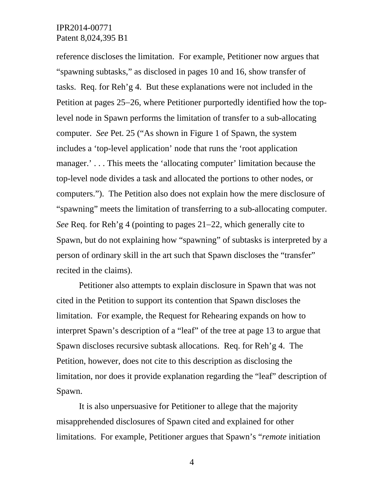reference discloses the limitation. For example, Petitioner now argues that "spawning subtasks," as disclosed in pages 10 and 16, show transfer of tasks. Req. for Reh'g 4. But these explanations were not included in the Petition at pages 25–26, where Petitioner purportedly identified how the toplevel node in Spawn performs the limitation of transfer to a sub-allocating computer. *See* Pet. 25 ("As shown in Figure 1 of Spawn, the system includes a 'top-level application' node that runs the 'root application manager.'... This meets the 'allocating computer' limitation because the top-level node divides a task and allocated the portions to other nodes, or computers."). The Petition also does not explain how the mere disclosure of "spawning" meets the limitation of transferring to a sub-allocating computer. *See* Req. for Reh'g 4 (pointing to pages  $21-22$ , which generally cite to Spawn, but do not explaining how "spawning" of subtasks is interpreted by a person of ordinary skill in the art such that Spawn discloses the "transfer" recited in the claims).

Petitioner also attempts to explain disclosure in Spawn that was not cited in the Petition to support its contention that Spawn discloses the limitation. For example, the Request for Rehearing expands on how to interpret Spawn's description of a "leaf" of the tree at page 13 to argue that Spawn discloses recursive subtask allocations. Req. for Reh'g 4. The Petition, however, does not cite to this description as disclosing the limitation, nor does it provide explanation regarding the "leaf" description of Spawn.

It is also unpersuasive for Petitioner to allege that the majority misapprehended disclosures of Spawn cited and explained for other limitations. For example, Petitioner argues that Spawn's "*remote* initiation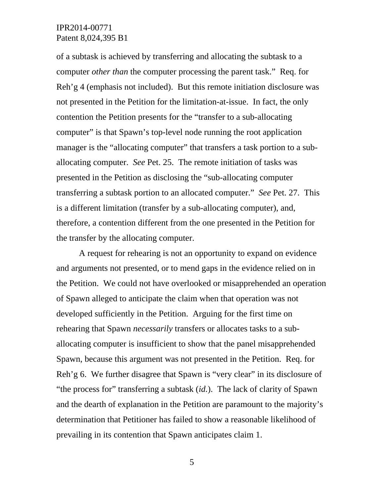of a subtask is achieved by transferring and allocating the subtask to a computer *other than* the computer processing the parent task." Req. for Reh'g 4 (emphasis not included). But this remote initiation disclosure was not presented in the Petition for the limitation-at-issue. In fact, the only contention the Petition presents for the "transfer to a sub-allocating computer" is that Spawn's top-level node running the root application manager is the "allocating computer" that transfers a task portion to a suballocating computer. *See* Pet. 25. The remote initiation of tasks was presented in the Petition as disclosing the "sub-allocating computer transferring a subtask portion to an allocated computer." *See* Pet. 27. This is a different limitation (transfer by a sub-allocating computer), and, therefore, a contention different from the one presented in the Petition for the transfer by the allocating computer.

A request for rehearing is not an opportunity to expand on evidence and arguments not presented, or to mend gaps in the evidence relied on in the Petition. We could not have overlooked or misapprehended an operation of Spawn alleged to anticipate the claim when that operation was not developed sufficiently in the Petition. Arguing for the first time on rehearing that Spawn *necessarily* transfers or allocates tasks to a suballocating computer is insufficient to show that the panel misapprehended Spawn, because this argument was not presented in the Petition. Req. for Reh'g 6. We further disagree that Spawn is "very clear" in its disclosure of "the process for" transferring a subtask (*id.*). The lack of clarity of Spawn and the dearth of explanation in the Petition are paramount to the majority's determination that Petitioner has failed to show a reasonable likelihood of prevailing in its contention that Spawn anticipates claim 1.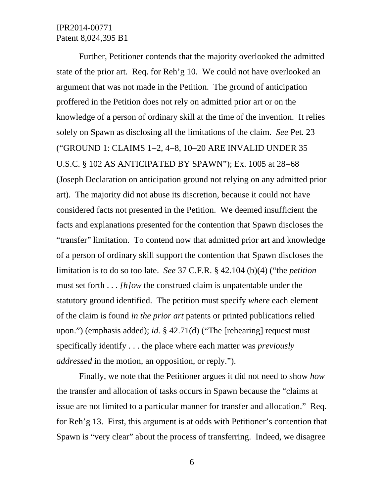Further, Petitioner contends that the majority overlooked the admitted state of the prior art. Req. for Reh'g 10. We could not have overlooked an argument that was not made in the Petition. The ground of anticipation proffered in the Petition does not rely on admitted prior art or on the knowledge of a person of ordinary skill at the time of the invention. It relies solely on Spawn as disclosing all the limitations of the claim. *See* Pet. 23 ("GROUND 1: CLAIMS 1-2, 4-8, 10-20 ARE INVALID UNDER 35 U.S.C. § 102 AS ANTICIPATED BY SPAWN"); Ex. 1005 at 28–68 (Joseph Declaration on anticipation ground not relying on any admitted prior art). The majority did not abuse its discretion, because it could not have considered facts not presented in the Petition. We deemed insufficient the facts and explanations presented for the contention that Spawn discloses the "transfer" limitation. To contend now that admitted prior art and knowledge of a person of ordinary skill support the contention that Spawn discloses the limitation is to do so too late. *See* 37 C.F.R. § 42.104 (b)(4) ("the *petition* must set forth . . . *[h]ow* the construed claim is unpatentable under the statutory ground identified. The petition must specify *where* each element of the claim is found *in the prior art* patents or printed publications relied upon.") (emphasis added); *id.* § 42.71(d) ("The [rehearing] request must specifically identify . . . the place where each matter was *previously addressed* in the motion, an opposition, or reply.").

Finally, we note that the Petitioner argues it did not need to show *how* the transfer and allocation of tasks occurs in Spawn because the "claims at issue are not limited to a particular manner for transfer and allocation." Req. for Reh'g 13. First, this argument is at odds with Petitioner's contention that Spawn is "very clear" about the process of transferring. Indeed, we disagree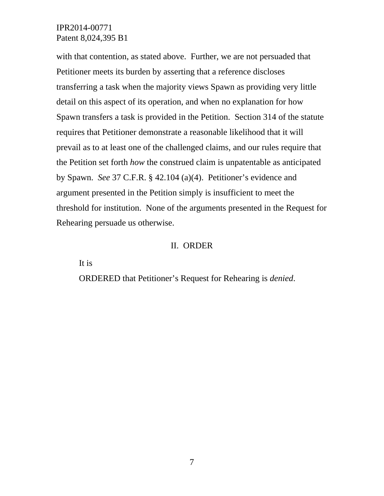with that contention, as stated above. Further, we are not persuaded that Petitioner meets its burden by asserting that a reference discloses transferring a task when the majority views Spawn as providing very little detail on this aspect of its operation, and when no explanation for how Spawn transfers a task is provided in the Petition. Section 314 of the statute requires that Petitioner demonstrate a reasonable likelihood that it will prevail as to at least one of the challenged claims, and our rules require that the Petition set forth *how* the construed claim is unpatentable as anticipated by Spawn. *See* 37 C.F.R. § 42.104 (a)(4). Petitioner's evidence and argument presented in the Petition simply is insufficient to meet the threshold for institution. None of the arguments presented in the Request for Rehearing persuade us otherwise.

#### II. ORDER

It is

ORDERED that Petitioner's Request for Rehearing is *denied*.